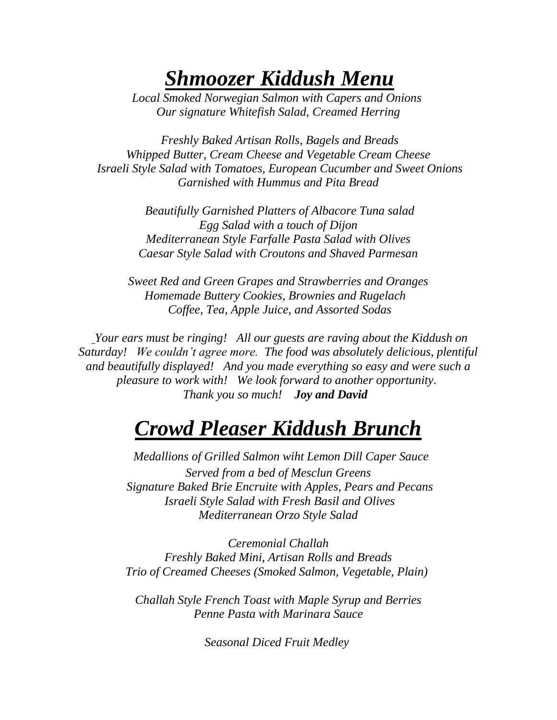# *Shmoozer Kiddush Menu*

*Local Smoked Norwegian Salmon with Capers and Onions Our signature Whitefish Salad, Creamed Herring*

*Freshly Baked Artisan Rolls, Bagels and Breads Whipped Butter, Cream Cheese and Vegetable Cream Cheese Israeli Style Salad with Tomatoes, European Cucumber and Sweet Onions Garnished with Hummus and Pita Bread*

> *Beautifully Garnished Platters of Albacore Tuna salad Egg Salad with a touch of Dijon Mediterranean Style Farfalle Pasta Salad with Olives Caesar Style Salad with Croutons and Shaved Parmesan*

*Sweet Red and Green Grapes and Strawberries and Oranges Homemade Buttery Cookies, Brownies and Rugelach Coffee, Tea, Apple Juice, and Assorted Sodas*

*Your ears must be ringing! All our guests are raving about the Kiddush on Saturday! We couldn't agree more. The food was absolutely delicious, plentiful and beautifully displayed! And you made everything so easy and were such a pleasure to work with! We look forward to another opportunity. Thank you so much! Joy and David* 

# *Crowd Pleaser Kiddush Brunch*

*Medallions of Grilled Salmon wiht Lemon Dill Caper Sauce Served from a bed of Mesclun Greens Signature Baked Brie Encruite with Apples, Pears and Pecans Israeli Style Salad with Fresh Basil and Olives Mediterranean Orzo Style Salad*

*Ceremonial Challah Freshly Baked Mini, Artisan Rolls and Breads Trio of Creamed Cheeses (Smoked Salmon, Vegetable, Plain)*

*Challah Style French Toast with Maple Syrup and Berries Penne Pasta with Marinara Sauce*

*Seasonal Diced Fruit Medley*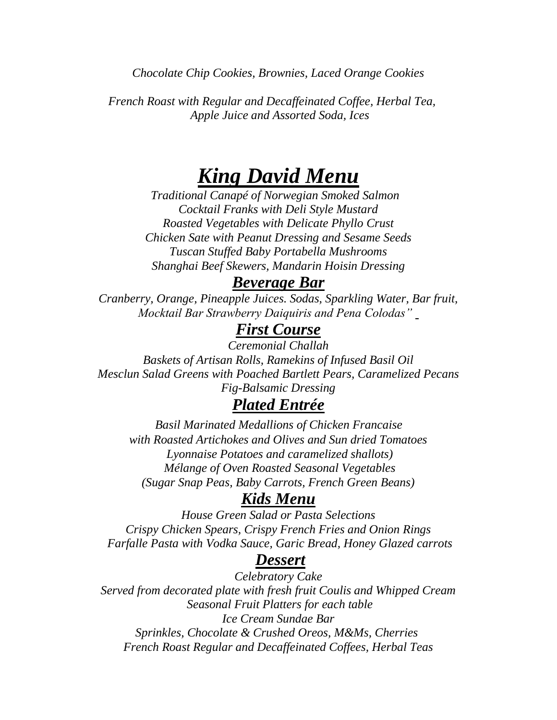*Chocolate Chip Cookies, Brownies, Laced Orange Cookies*

*French Roast with Regular and Decaffeinated Coffee, Herbal Tea, Apple Juice and Assorted Soda, Ices*

## *King David Menu*

*Traditional Canapé of Norwegian Smoked Salmon Cocktail Franks with Deli Style Mustard Roasted Vegetables with Delicate Phyllo Crust Chicken Sate with Peanut Dressing and Sesame Seeds Tuscan Stuffed Baby Portabella Mushrooms Shanghai Beef Skewers, Mandarin Hoisin Dressing*

#### *Beverage Bar*

*Cranberry, Orange, Pineapple Juices. Sodas, Sparkling Water, Bar fruit, Mocktail Bar Strawberry Daiquiris and Pena Colodas"*

## *First Course*

*Ceremonial Challah Baskets of Artisan Rolls, Ramekins of Infused Basil Oil Mesclun Salad Greens with Poached Bartlett Pears, Caramelized Pecans Fig-Balsamic Dressing*

### *Plated Entrée*

*Basil Marinated Medallions of Chicken Francaise with Roasted Artichokes and Olives and Sun dried Tomatoes Lyonnaise Potatoes and caramelized shallots) Mélange of Oven Roasted Seasonal Vegetables (Sugar Snap Peas, Baby Carrots, French Green Beans)*

### *Kids Menu*

*House Green Salad or Pasta Selections Crispy Chicken Spears, Crispy French Fries and Onion Rings Farfalle Pasta with Vodka Sauce, Garic Bread, Honey Glazed carrots*

#### *Dessert*

*Celebratory Cake Served from decorated plate with fresh fruit Coulis and Whipped Cream Seasonal Fruit Platters for each table Ice Cream Sundae Bar Sprinkles, Chocolate & Crushed Oreos, M&Ms, Cherries French Roast Regular and Decaffeinated Coffees, Herbal Teas*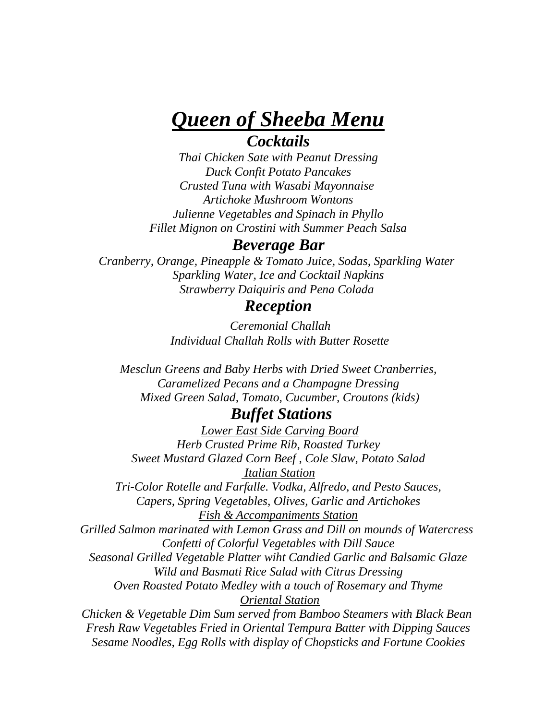## *Queen of Sheeba Menu Cocktails*

*Thai Chicken Sate with Peanut Dressing Duck Confit Potato Pancakes Crusted Tuna with Wasabi Mayonnaise Artichoke Mushroom Wontons Julienne Vegetables and Spinach in Phyllo Fillet Mignon on Crostini with Summer Peach Salsa*

#### *Beverage Bar*

*Cranberry, Orange, Pineapple & Tomato Juice, Sodas, Sparkling Water Sparkling Water, Ice and Cocktail Napkins Strawberry Daiquiris and Pena Colada*

#### *Reception*

*Ceremonial Challah Individual Challah Rolls with Butter Rosette*

*Mesclun Greens and Baby Herbs with Dried Sweet Cranberries, Caramelized Pecans and a Champagne Dressing Mixed Green Salad, Tomato, Cucumber, Croutons (kids)*

### *Buffet Stations*

*Lower East Side Carving Board Herb Crusted Prime Rib, Roasted Turkey Sweet Mustard Glazed Corn Beef , Cole Slaw, Potato Salad Italian Station Tri-Color Rotelle and Farfalle. Vodka, Alfredo, and Pesto Sauces, Capers, Spring Vegetables, Olives, Garlic and Artichokes Fish & Accompaniments Station Grilled Salmon marinated with Lemon Grass and Dill on mounds of Watercress Confetti of Colorful Vegetables with Dill Sauce Seasonal Grilled Vegetable Platter wiht Candied Garlic and Balsamic Glaze Wild and Basmati Rice Salad with Citrus Dressing Oven Roasted Potato Medley with a touch of Rosemary and Thyme Oriental Station Chicken & Vegetable Dim Sum served from Bamboo Steamers with Black Bean Fresh Raw Vegetables Fried in Oriental Tempura Batter with Dipping Sauces Sesame Noodles, Egg Rolls with display of Chopsticks and Fortune Cookies*